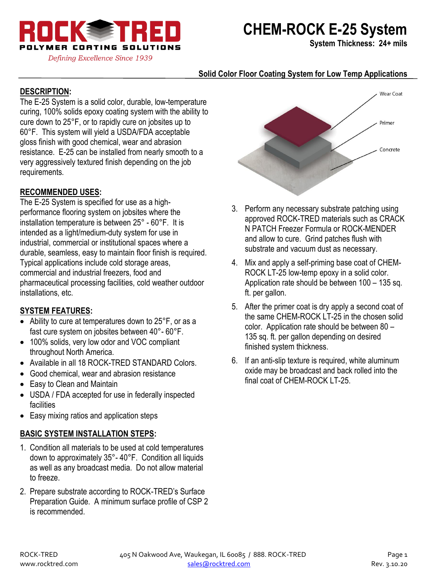

# **CHEM-ROCK E-25 System**

**System Thickness: 24+ mils**

## **Solid Color Floor Coating System for Low Temp Applications**

## **DESCRIPTION:**

The E-25 System is a solid color, durable, low-temperature curing, 100% solids epoxy coating system with the ability to cure down to 25°F, or to rapidly cure on jobsites up to 60°F. This system will yield a USDA/FDA acceptable gloss finish with good chemical, wear and abrasion resistance. E-25 can be installed from nearly smooth to a very aggressively textured finish depending on the job requirements.

#### **RECOMMENDED USES:**

The E-25 System is specified for use as a highperformance flooring system on jobsites where the installation temperature is between 25° - 60°F. It is intended as a light/medium-duty system for use in industrial, commercial or institutional spaces where a durable, seamless, easy to maintain floor finish is required. Typical applications include cold storage areas, commercial and industrial freezers, food and pharmaceutical processing facilities, cold weather outdoor installations, etc.

#### **SYSTEM FEATURES:**

- Ability to cure at temperatures down to 25°F, or as a fast cure system on jobsites between 40°- 60°F.
- 100% solids, very low odor and VOC compliant throughout North America.
- Available in all 18 ROCK-TRED STANDARD Colors.
- Good chemical, wear and abrasion resistance
- Easy to Clean and Maintain
- USDA / FDA accepted for use in federally inspected facilities
- Easy mixing ratios and application steps

# **BASIC SYSTEM INSTALLATION STEPS:**

- 1. Condition all materials to be used at cold temperatures down to approximately 35°- 40°F. Condition all liquids as well as any broadcast media. Do not allow material to freeze.
- 2. Prepare substrate according to ROCK-TRED's Surface Preparation Guide. A minimum surface profile of CSP 2 is recommended.



- 3. Perform any necessary substrate patching using approved ROCK-TRED materials such as CRACK N PATCH Freezer Formula or ROCK-MENDER and allow to cure. Grind patches flush with substrate and vacuum dust as necessary.
- 4. Mix and apply a self-priming base coat of CHEM-ROCK LT-25 low-temp epoxy in a solid color. Application rate should be between 100 – 135 sq. ft. per gallon.
- 5. After the primer coat is dry apply a second coat of the same CHEM-ROCK LT-25 in the chosen solid color. Application rate should be between 80 – 135 sq. ft. per gallon depending on desired finished system thickness.
- 6. If an anti-slip texture is required, white aluminum oxide may be broadcast and back rolled into the final coat of CHEM-ROCK LT-25.